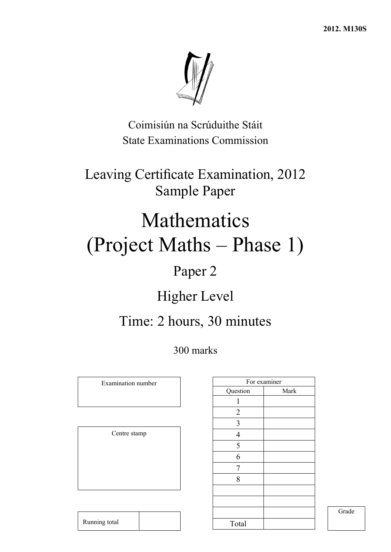

Coimisiún na Scrúduithe Stáit State Examinations Commission

Leaving Certificate Examination, 2012 Sample Paper

# Mathematics (Project Maths – Phase 1)

## Paper 2

## Higher Level

## Time: 2 hours, 30 minutes

300 marks

Examination number

Centre stamp

| For examiner |
|--------------|
| Mark         |
|              |
|              |
|              |
|              |
|              |
|              |
|              |
|              |
|              |
|              |
|              |
|              |
|              |

Grade

Running total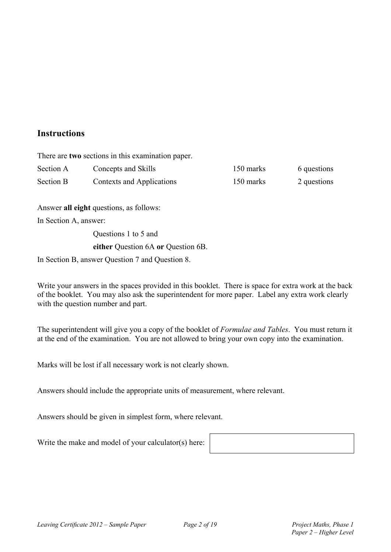### **Instructions**

There are **two** sections in this examination paper.

| Section A | Concepts and Skills       | 150 marks | 6 questions |
|-----------|---------------------------|-----------|-------------|
| Section B | Contexts and Applications | 150 marks | 2 questions |

Answer **all eight** questions, as follows:

In Section A, answer:

 Questions 1 to 5 and **either** Question 6A **or** Question 6B.

In Section B, answer Question 7 and Question 8.

Write your answers in the spaces provided in this booklet. There is space for extra work at the back of the booklet. You may also ask the superintendent for more paper. Label any extra work clearly with the question number and part.

The superintendent will give you a copy of the booklet of *Formulae and Tables*. You must return it at the end of the examination. You are not allowed to bring your own copy into the examination.

Marks will be lost if all necessary work is not clearly shown.

Answers should include the appropriate units of measurement, where relevant.

Answers should be given in simplest form, where relevant.

Write the make and model of your calculator(s) here: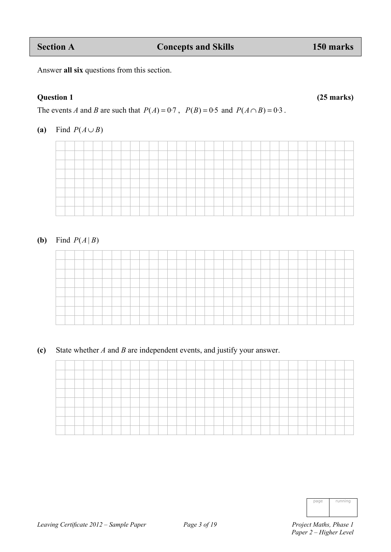Answer **all six** questions from this section.

#### **Question 1 (25 marks)**

The events *A* and *B* are such that  $P(A) = 0.7$ ,  $P(B) = 0.5$  and  $P(A \cap B) = 0.3$ .

#### **(a)** Find  $P(A \cup B)$



#### **(b)** Find  $P(A|B)$

|  |  | the control of the control of |  |  | ____ | ___ |  | ______ |  |  | the control of the control of | __ |  |  |  |  |
|--|--|-------------------------------|--|--|------|-----|--|--------|--|--|-------------------------------|----|--|--|--|--|

**(c)** State whether *A* and *B* are independent events, and justify your answer.

| the contract of the contract of | _______ |     |  |  |  |  |  |  |         |  |  |  |  |  |  |  |  |
|---------------------------------|---------|-----|--|--|--|--|--|--|---------|--|--|--|--|--|--|--|--|
|                                 |         | ___ |  |  |  |  |  |  | _______ |  |  |  |  |  |  |  |  |
|                                 |         |     |  |  |  |  |  |  |         |  |  |  |  |  |  |  |  |
|                                 |         |     |  |  |  |  |  |  |         |  |  |  |  |  |  |  |  |
| <b>Service</b>                  |         |     |  |  |  |  |  |  |         |  |  |  |  |  |  |  |  |
| $-$                             | ____    |     |  |  |  |  |  |  |         |  |  |  |  |  |  |  |  |

| page | running |
|------|---------|
|      |         |
|      |         |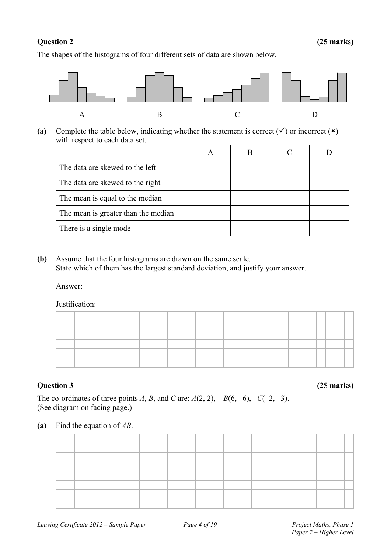The shapes of the histograms of four different sets of data are shown below.



(a) Complete the table below, indicating whether the statement is correct  $(v)$  or incorrect  $(x)$ with respect to each data set.

| The data are skewed to the left     |  |  |
|-------------------------------------|--|--|
| The data are skewed to the right    |  |  |
| The mean is equal to the median     |  |  |
| The mean is greater than the median |  |  |
| There is a single mode              |  |  |

**(b)** Assume that the four histograms are drawn on the same scale. State which of them has the largest standard deviation, and justify your answer.

Answer:

Justification:

| ___ |  |  | ________ |  |  |  |  |  |        | _____ | ____ |  | _____ |  |  |  |  |  |
|-----|--|--|----------|--|--|--|--|--|--------|-------|------|--|-------|--|--|--|--|--|
|     |  |  |          |  |  |  |  |  | ______ |       |      |  |       |  |  |  |  |  |
|     |  |  |          |  |  |  |  |  |        |       |      |  |       |  |  |  |  |  |
|     |  |  |          |  |  |  |  |  |        |       |      |  |       |  |  |  |  |  |
|     |  |  |          |  |  |  |  |  |        |       |      |  |       |  |  |  |  |  |
|     |  |  |          |  |  |  |  |  |        |       |      |  |       |  |  |  |  |  |

**Question 3 (25 marks)** 

The co-ordinates of three points *A*, *B*, and *C* are:  $A(2, 2)$ ,  $B(6, -6)$ ,  $C(-2, -3)$ . (See diagram on facing page.)

#### **(a)** Find the equation of *AB*.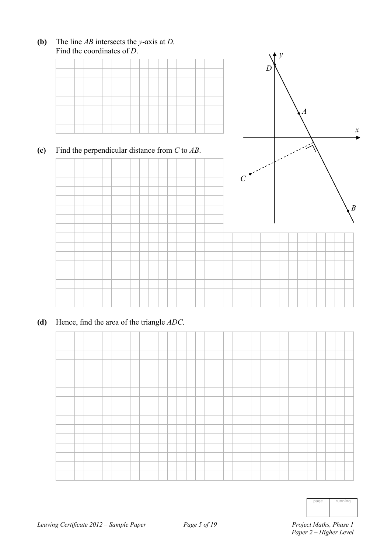

**(b)** The line *AB* intersects the *y*-axis at *D*. Find the coordinates of *D*.

**(d)** Hence, find the area of the triangle *ADC*.

| page | running |
|------|---------|
|      |         |
|      |         |

*x* 

Á.

*B*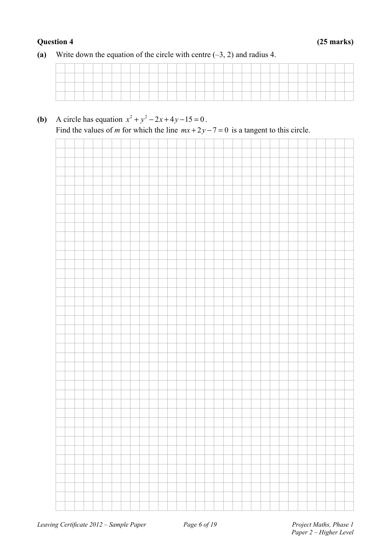#### **Question 4 (25 marks)**

**(a)** Write down the equation of the circle with centre (–3, 2) and radius 4.

**(b)** A circle has equation  $x^2 + y^2 - 2x + 4y - 15 = 0$ . Find the values of *m* for which the line  $mx + 2y - 7 = 0$  is a tangent to this circle.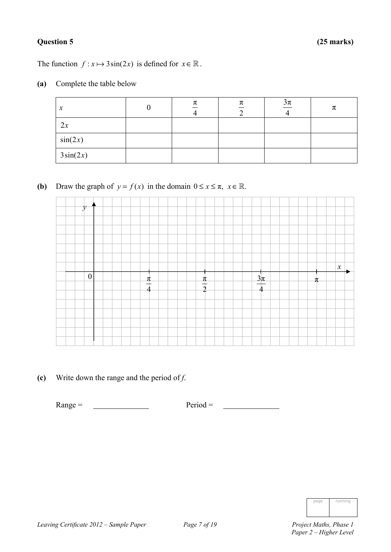#### **Question 5 (25 marks)**

The function  $f: x \mapsto 3\sin(2x)$  is defined for  $x \in \mathbb{R}$ .

**(a)** Complete the table below

| $\boldsymbol{\mathcal{X}}$ | π | π | $\frac{3\pi}{4}$ | π |
|----------------------------|---|---|------------------|---|
| 2x                         |   |   |                  |   |
| sin(2x)                    |   |   |                  |   |
| $3\sin(2x)$                |   |   |                  |   |

**(b)** Draw the graph of  $y = f(x)$  in the domain  $0 \le x \le \pi$ ,  $x \in \mathbb{R}$ .

| 12               |   |                 |                                             |                            |
|------------------|---|-----------------|---------------------------------------------|----------------------------|
|                  |   |                 |                                             |                            |
|                  |   |                 |                                             |                            |
|                  |   |                 |                                             |                            |
|                  |   |                 |                                             |                            |
|                  |   |                 |                                             |                            |
|                  |   |                 |                                             | $\boldsymbol{\mathcal{X}}$ |
|                  |   |                 |                                             |                            |
| $\boldsymbol{0}$ | π |                 |                                             | π                          |
|                  | 4 | $\frac{\pi}{2}$ | $\frac{3\pi}{4}$<br>$\overline{\mathbf{4}}$ |                            |
|                  |   |                 |                                             |                            |
|                  |   |                 |                                             |                            |
|                  |   |                 |                                             |                            |
|                  |   |                 |                                             |                            |

**(c)** Write down the range and the period of *f*.

 $Range = \fbox{Period} = \fbox{Period} =$ 

| page | running |
|------|---------|
|      |         |
|      |         |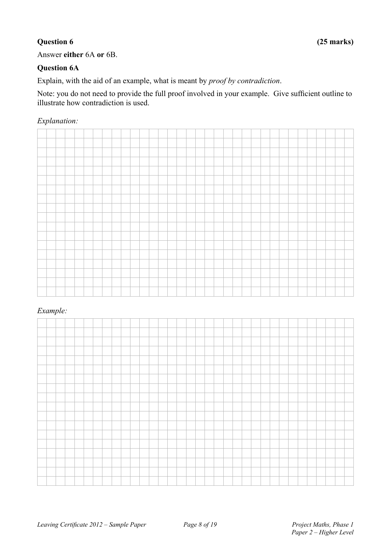Answer **either** 6A **or** 6B.

#### **Question 6A**

Explain, with the aid of an example, what is meant by *proof by contradiction*.

Note: you do not need to provide the full proof involved in your example. Give sufficient outline to illustrate how contradiction is used.

#### *Explanation:*

#### *Example:*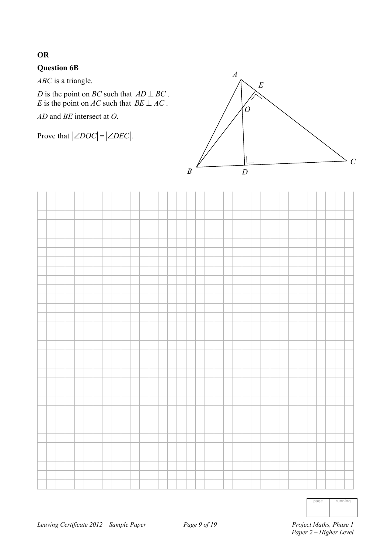### **OR**

#### **Question 6B**

*ABC* is a triangle.

*D* is the point on *BC* such that  $AD \perp BC$ . *E* is the point on *AC* such that  $BE \perp AC$ .

*AD* and *BE* intersect at *O*.

Prove that  $\left| \angle DOC \right| = \left| \angle DEC \right|$ .





page running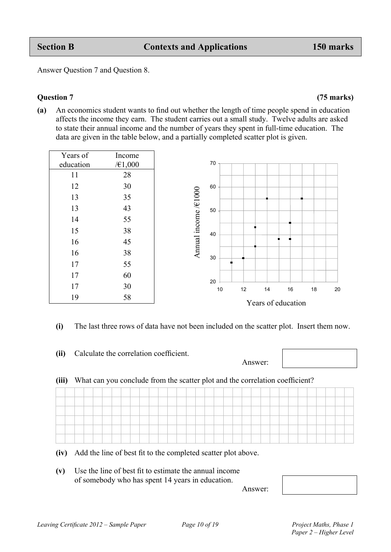Answer Question 7 and Question 8.

**(a)** An economics student wants to find out whether the length of time people spend in education affects the income they earn. The student carries out a small study. Twelve adults are asked to state their annual income and the number of years they spent in full-time education. The data are given in the table below, and a partially completed scatter plot is given.

|           |         | Years of education               |
|-----------|---------|----------------------------------|
| 19        | 58      |                                  |
| 17        | 30      | 10<br>12<br>14<br>16<br>18<br>20 |
| 17        | 60      | 20                               |
| 17        | 55      |                                  |
| 16        | 38      | 30                               |
| 16        | 45      | Annual income /€1000             |
| 15        | 38      | 40                               |
| 14        | 55      |                                  |
| 13        | 43      | 50                               |
| 13        | 35      |                                  |
| 12        | 30      | 60                               |
| 11        | 28      |                                  |
| education | /€1,000 | 70                               |
| Years of  | Income  |                                  |

 **(i)** The last three rows of data have not been included on the scatter plot. Insert them now.

|       |                                                                              |  |  |  |  |  |  |  | Answer: |  |  |  |  |
|-------|------------------------------------------------------------------------------|--|--|--|--|--|--|--|---------|--|--|--|--|
| (iii) | What can you conclude from the scatter plot and the correlation coefficient? |  |  |  |  |  |  |  |         |  |  |  |  |
|       |                                                                              |  |  |  |  |  |  |  |         |  |  |  |  |
|       |                                                                              |  |  |  |  |  |  |  |         |  |  |  |  |
|       |                                                                              |  |  |  |  |  |  |  |         |  |  |  |  |
|       |                                                                              |  |  |  |  |  |  |  |         |  |  |  |  |
|       |                                                                              |  |  |  |  |  |  |  |         |  |  |  |  |
|       |                                                                              |  |  |  |  |  |  |  |         |  |  |  |  |

 **(iv)** Add the line of best fit to the completed scatter plot above.

 **(v)** Use the line of best fit to estimate the annual income of somebody who has spent 14 years in education. Answer:



**Question 7 (75 marks)**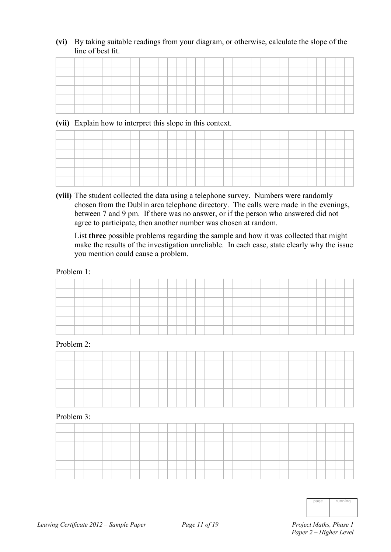**(vi)** By taking suitable readings from your diagram, or otherwise, calculate the slope of the line of best fit.

| _____ |  |  |  |  |  |  |  |  |  |  |  |  |  |  |  |  |
|-------|--|--|--|--|--|--|--|--|--|--|--|--|--|--|--|--|
| -     |  |  |  |  |  |  |  |  |  |  |  |  |  |  |  |  |
| ____  |  |  |  |  |  |  |  |  |  |  |  |  |  |  |  |  |
|       |  |  |  |  |  |  |  |  |  |  |  |  |  |  |  |  |
|       |  |  |  |  |  |  |  |  |  |  |  |  |  |  |  |  |
|       |  |  |  |  |  |  |  |  |  |  |  |  |  |  |  |  |

#### **(vii)** Explain how to interpret this slope in this context.

 **(viii)** The student collected the data using a telephone survey. Numbers were randomly chosen from the Dublin area telephone directory. The calls were made in the evenings, between 7 and 9 pm. If there was no answer, or if the person who answered did not agree to participate, then another number was chosen at random.

 List **three** possible problems regarding the sample and how it was collected that might make the results of the investigation unreliable. In each case, state clearly why the issue you mention could cause a problem.

#### Problem 1:

| _______ | _____ |  |  |  |  |  |  |  | _______ |  |  |  |  |  | _______ |  |
|---------|-------|--|--|--|--|--|--|--|---------|--|--|--|--|--|---------|--|
|         |       |  |  |  |  |  |  |  |         |  |  |  |  |  |         |  |

#### Problem 2:

#### Problem 3:

| $n_{l}$<br>п<br>1<br>٦<br>ī<br>I<br>I<br>ı |
|--------------------------------------------|
|                                            |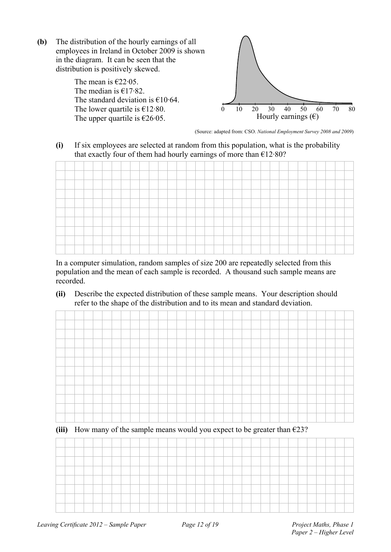**(b)** The distribution of the hourly earnings of all employees in Ireland in October 2009 is shown in the diagram. It can be seen that the distribution is positively skewed.

> The mean is  $\epsilon$ 22 $\cdot$ 05. The median is  $£17.82$ . The standard deviation is  $€10.64$ . The lower quartile is  $£12.80$ . The upper quartile is  $\epsilon$ 26.05.



(Source: adapted from: CSO. *National Employment Survey 2008 and 2009*)

**(i)** If six employees are selected at random from this population, what is the probability that exactly four of them had hourly earnings of more than  $E12.80$ ?



 In a computer simulation, random samples of size 200 are repeatedly selected from this population and the mean of each sample is recorded. A thousand such sample means are recorded.

**(ii)** Describe the expected distribution of these sample means. Your description should refer to the shape of the distribution and to its mean and standard deviation.

**(iii)** How many of the sample means would you expect to be greater than  $\epsilon$ 23?

| -                          |  |  | ____ |  |  |  |  |  |  | _______ |  |  |  |  |  |  |  |
|----------------------------|--|--|------|--|--|--|--|--|--|---------|--|--|--|--|--|--|--|
|                            |  |  |      |  |  |  |  |  |  |         |  |  |  |  |  |  |  |
|                            |  |  |      |  |  |  |  |  |  |         |  |  |  |  |  |  |  |
|                            |  |  |      |  |  |  |  |  |  |         |  |  |  |  |  |  |  |
| <b>Service Controllers</b> |  |  |      |  |  |  |  |  |  |         |  |  |  |  |  |  |  |
|                            |  |  |      |  |  |  |  |  |  |         |  |  |  |  |  |  |  |
|                            |  |  |      |  |  |  |  |  |  |         |  |  |  |  |  |  |  |
|                            |  |  |      |  |  |  |  |  |  |         |  |  |  |  |  |  |  |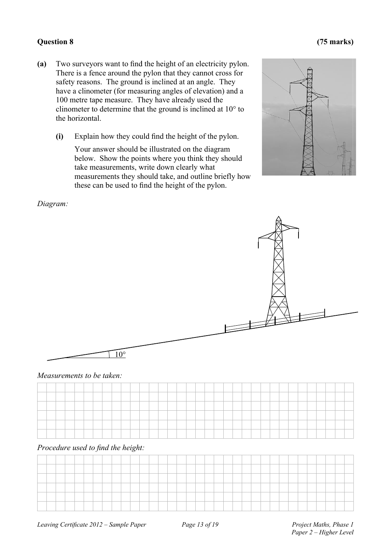#### **Question 8**

- (a) Two surveyors want to find the height of an electricity pylon. There is a fence around the pylon that they cannot cross for safety reasons. The ground is inclined at an angle. They have a clinometer (for measuring angles of elevation) and a 100 metre tape measure. They have already used the clinometer to determine that the ground is inclined at  $10^{\circ}$  to the h horizontal.
	- **(i)** Explain how they could find the height of the pylon.

Your answer should be illustrated on the diagram below. Show the points where you think they should take measurements, write down clearly what measurements they should take, and outline briefly how these can be used to find the height of the pylon.



#### *Diagram:*



#### *Measurements to be taken:*

| <b>Services</b>               |  | ____ | ___ | ____ |  |  |  |  | ____ | ____ | _____ | ____ | ____ |  |  |  |  |  |         |
|-------------------------------|--|------|-----|------|--|--|--|--|------|------|-------|------|------|--|--|--|--|--|---------|
|                               |  |      |     |      |  |  |  |  |      |      |       |      |      |  |  |  |  |  |         |
|                               |  |      |     |      |  |  |  |  |      |      |       |      |      |  |  |  |  |  |         |
| <b><i><u>Property</u></i></b> |  |      |     |      |  |  |  |  |      |      |       |      |      |  |  |  |  |  | _______ |
| --                            |  |      |     |      |  |  |  |  |      |      |       |      |      |  |  |  |  |  |         |

#### *Procedure used to find the height:*

#### *Project M aths, Phase 1* Paper 2 – Higher Level

### **( (75 marks)**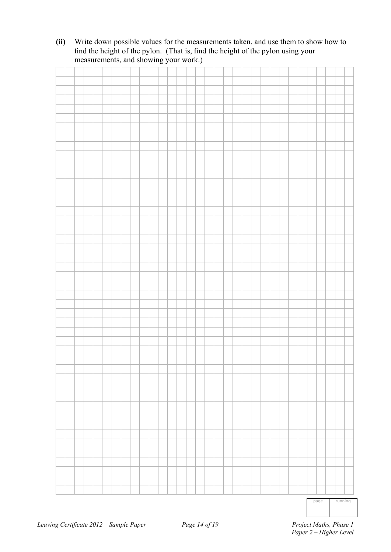**(ii)** Write down possible values for the measurements taken, and use them to show how to find the height of the pylon. (That is, find the height of the pylon using your measurements, and showing your work.)

page running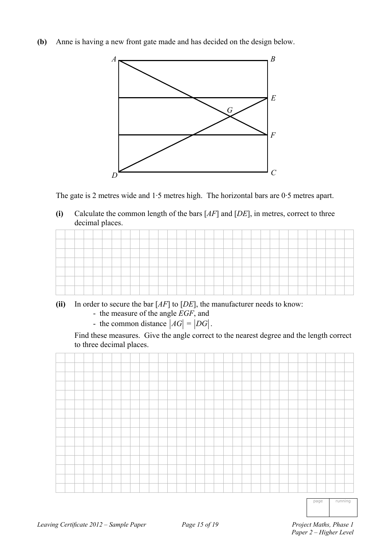**(b)** Anne is having a new front gate made and has decided on the design below.



The gate is 2 metres wide and 1·5 metres high. The horizontal bars are 0·5 metres apart.

**(i)** Calculate the common length of the bars [*AF*] and [*DE*], in metres, correct to three decimal places.

| <b>Property</b> | _____ |  |  |  |  |  |  |  |  |  |  |  |  |  |  |  |
|-----------------|-------|--|--|--|--|--|--|--|--|--|--|--|--|--|--|--|
|                 |       |  |  |  |  |  |  |  |  |  |  |  |  |  |  |  |
| <b>Property</b> |       |  |  |  |  |  |  |  |  |  |  |  |  |  |  |  |
| -               |       |  |  |  |  |  |  |  |  |  |  |  |  |  |  |  |
|                 |       |  |  |  |  |  |  |  |  |  |  |  |  |  |  |  |
|                 |       |  |  |  |  |  |  |  |  |  |  |  |  |  |  |  |

- **(ii)** In order to secure the bar [*AF*] to [*DE*], the manufacturer needs to know:
	- the measure of the angle *EGF*, and
	- the common distance  $|AG| = |DG|$ .

 Find these measures. Give the angle correct to the nearest degree and the length correct to three decimal places.



page running

 *Paper 2 – Higher Level*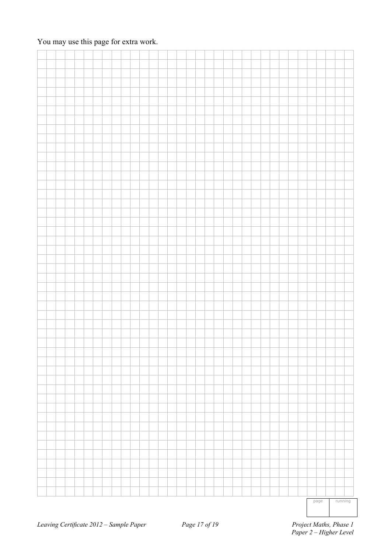|  |  |  |  |  |  |  |  |  |  |  |  |  |  |  | page | running |  |
|--|--|--|--|--|--|--|--|--|--|--|--|--|--|--|------|---------|--|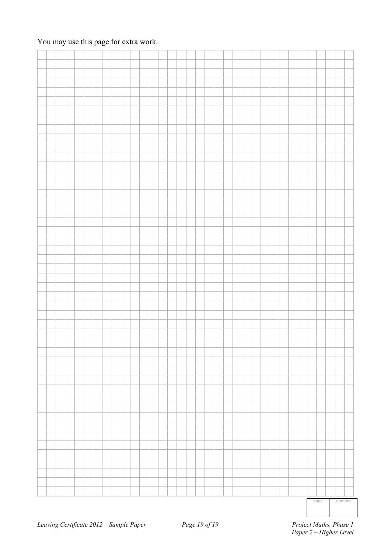|  |  |  |  |  |  |  |  |  |  |  |  |  |  |  | page | running |  |
|--|--|--|--|--|--|--|--|--|--|--|--|--|--|--|------|---------|--|